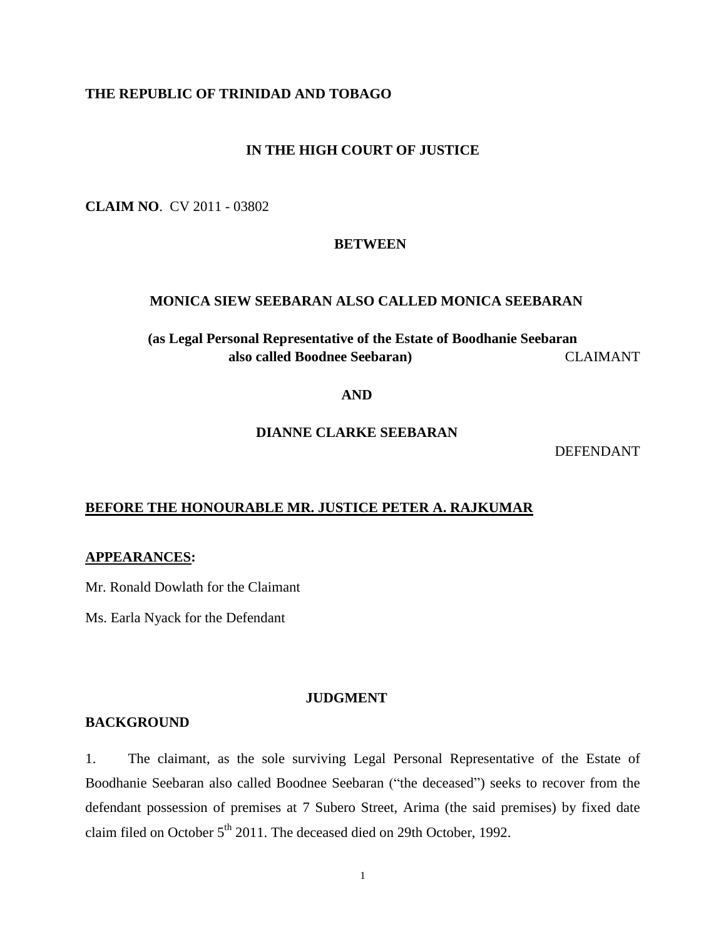# **THE REPUBLIC OF TRINIDAD AND TOBAGO**

## **IN THE HIGH COURT OF JUSTICE**

**CLAIM NO**. CV 2011 - 03802

#### **BETWEEN**

## **MONICA SIEW SEEBARAN ALSO CALLED MONICA SEEBARAN**

# **(as Legal Personal Representative of the Estate of Boodhanie Seebaran also called Boodnee Seebaran)** CLAIMANT

## **AND**

# **DIANNE CLARKE SEEBARAN**

#### DEFENDANT

## **BEFORE THE HONOURABLE MR. JUSTICE PETER A. RAJKUMAR**

### **APPEARANCES:**

Mr. Ronald Dowlath for the Claimant

Ms. Earla Nyack for the Defendant

## **JUDGMENT**

#### **BACKGROUND**

1. The claimant, as the sole surviving Legal Personal Representative of the Estate of Boodhanie Seebaran also called Boodnee Seebaran ("the deceased") seeks to recover from the defendant possession of premises at 7 Subero Street, Arima (the said premises) by fixed date claim filed on October  $5<sup>th</sup>$  2011. The deceased died on 29th October, 1992.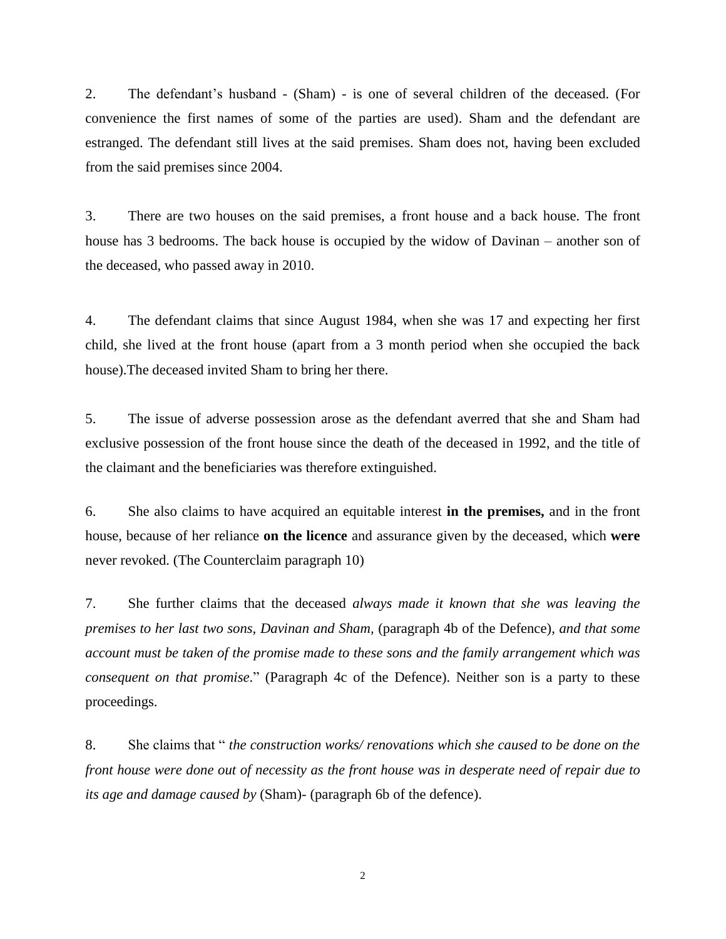2. The defendant's husband - (Sham) - is one of several children of the deceased. (For convenience the first names of some of the parties are used). Sham and the defendant are estranged. The defendant still lives at the said premises. Sham does not, having been excluded from the said premises since 2004.

3. There are two houses on the said premises, a front house and a back house. The front house has 3 bedrooms. The back house is occupied by the widow of Davinan – another son of the deceased, who passed away in 2010.

4. The defendant claims that since August 1984, when she was 17 and expecting her first child, she lived at the front house (apart from a 3 month period when she occupied the back house).The deceased invited Sham to bring her there.

5. The issue of adverse possession arose as the defendant averred that she and Sham had exclusive possession of the front house since the death of the deceased in 1992, and the title of the claimant and the beneficiaries was therefore extinguished.

6. She also claims to have acquired an equitable interest **in the premises,** and in the front house, because of her reliance **on the licence** and assurance given by the deceased, which **were** never revoked. (The Counterclaim paragraph 10)

7. She further claims that the deceased *always made it known that she was leaving the premises to her last two sons, Davinan and Sham,* (paragraph 4b of the Defence)*, and that some account must be taken of the promise made to these sons and the family arrangement which was consequent on that promise*." (Paragraph 4c of the Defence). Neither son is a party to these proceedings.

8. She claims that " *the construction works/ renovations which she caused to be done on the front house were done out of necessity as the front house was in desperate need of repair due to its age and damage caused by* (Sham)- (paragraph 6b of the defence).

2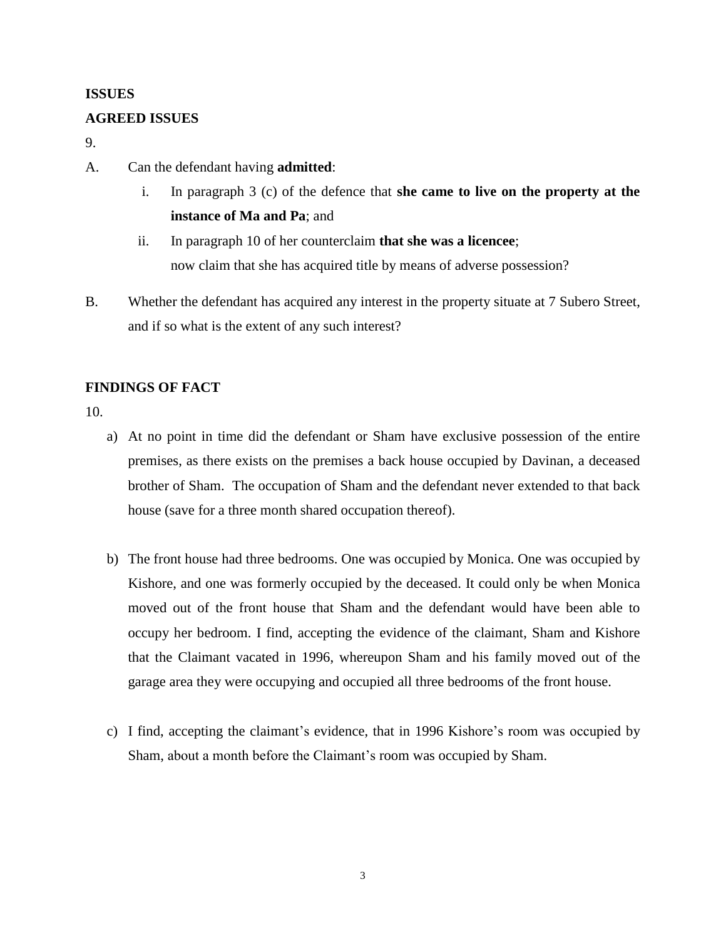## **ISSUES**

## **AGREED ISSUES**

9.

- A. Can the defendant having **admitted**:
	- i. In paragraph 3 (c) of the defence that **she came to live on the property at the instance of Ma and Pa**; and
	- ii. In paragraph 10 of her counterclaim **that she was a licencee**; now claim that she has acquired title by means of adverse possession?
- B. Whether the defendant has acquired any interest in the property situate at 7 Subero Street, and if so what is the extent of any such interest?

# **FINDINGS OF FACT**

10.

- a) At no point in time did the defendant or Sham have exclusive possession of the entire premises, as there exists on the premises a back house occupied by Davinan, a deceased brother of Sham. The occupation of Sham and the defendant never extended to that back house (save for a three month shared occupation thereof).
- b) The front house had three bedrooms. One was occupied by Monica. One was occupied by Kishore, and one was formerly occupied by the deceased. It could only be when Monica moved out of the front house that Sham and the defendant would have been able to occupy her bedroom. I find, accepting the evidence of the claimant, Sham and Kishore that the Claimant vacated in 1996, whereupon Sham and his family moved out of the garage area they were occupying and occupied all three bedrooms of the front house.
- c) I find, accepting the claimant's evidence, that in 1996 Kishore's room was occupied by Sham, about a month before the Claimant's room was occupied by Sham.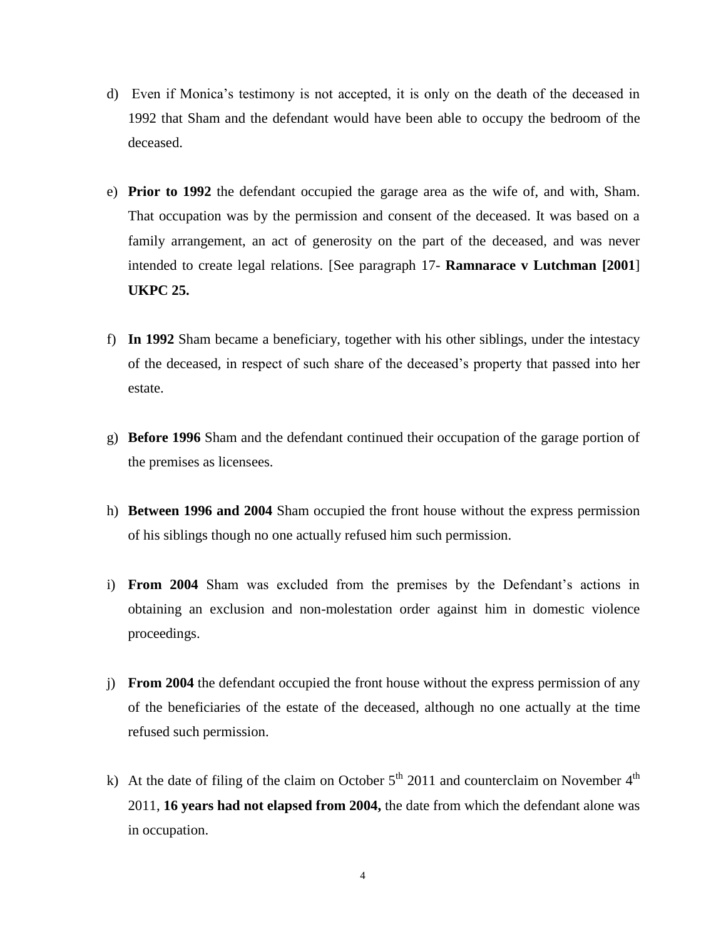- d) Even if Monica's testimony is not accepted, it is only on the death of the deceased in 1992 that Sham and the defendant would have been able to occupy the bedroom of the deceased.
- e) **Prior to 1992** the defendant occupied the garage area as the wife of, and with, Sham. That occupation was by the permission and consent of the deceased. It was based on a family arrangement, an act of generosity on the part of the deceased, and was never intended to create legal relations. [See paragraph 17- **Ramnarace v Lutchman [2001**] **UKPC 25.**
- f) **In 1992** Sham became a beneficiary, together with his other siblings, under the intestacy of the deceased, in respect of such share of the deceased's property that passed into her estate.
- g) **Before 1996** Sham and the defendant continued their occupation of the garage portion of the premises as licensees.
- h) **Between 1996 and 2004** Sham occupied the front house without the express permission of his siblings though no one actually refused him such permission.
- i) **From 2004** Sham was excluded from the premises by the Defendant's actions in obtaining an exclusion and non-molestation order against him in domestic violence proceedings.
- j) **From 2004** the defendant occupied the front house without the express permission of any of the beneficiaries of the estate of the deceased, although no one actually at the time refused such permission.
- k) At the date of filing of the claim on October  $5<sup>th</sup>$  2011 and counterclaim on November  $4<sup>th</sup>$ 2011, **16 years had not elapsed from 2004,** the date from which the defendant alone was in occupation.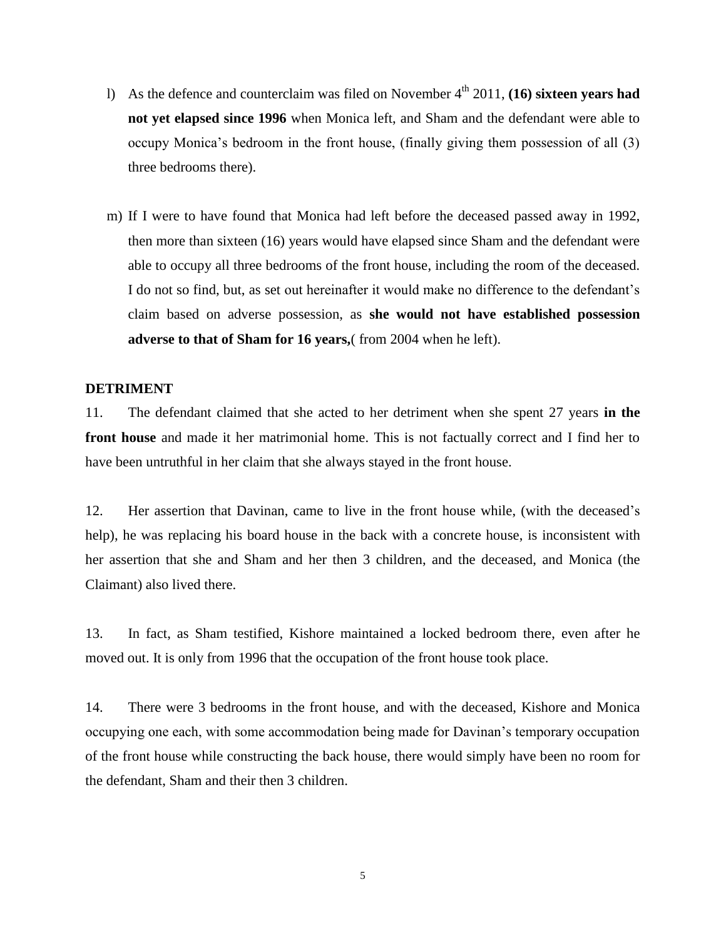- 1) As the defence and counterclaim was filed on November 4<sup>th</sup> 2011, **(16) sixteen years had not yet elapsed since 1996** when Monica left, and Sham and the defendant were able to occupy Monica's bedroom in the front house, (finally giving them possession of all (3) three bedrooms there).
- m) If I were to have found that Monica had left before the deceased passed away in 1992, then more than sixteen (16) years would have elapsed since Sham and the defendant were able to occupy all three bedrooms of the front house, including the room of the deceased. I do not so find, but, as set out hereinafter it would make no difference to the defendant's claim based on adverse possession, as **she would not have established possession adverse to that of Sham for 16 years,**( from 2004 when he left).

## **DETRIMENT**

11. The defendant claimed that she acted to her detriment when she spent 27 years **in the front house** and made it her matrimonial home. This is not factually correct and I find her to have been untruthful in her claim that she always stayed in the front house.

12. Her assertion that Davinan, came to live in the front house while, (with the deceased's help), he was replacing his board house in the back with a concrete house, is inconsistent with her assertion that she and Sham and her then 3 children, and the deceased, and Monica (the Claimant) also lived there.

13. In fact, as Sham testified, Kishore maintained a locked bedroom there, even after he moved out. It is only from 1996 that the occupation of the front house took place.

14. There were 3 bedrooms in the front house, and with the deceased, Kishore and Monica occupying one each, with some accommodation being made for Davinan's temporary occupation of the front house while constructing the back house, there would simply have been no room for the defendant, Sham and their then 3 children.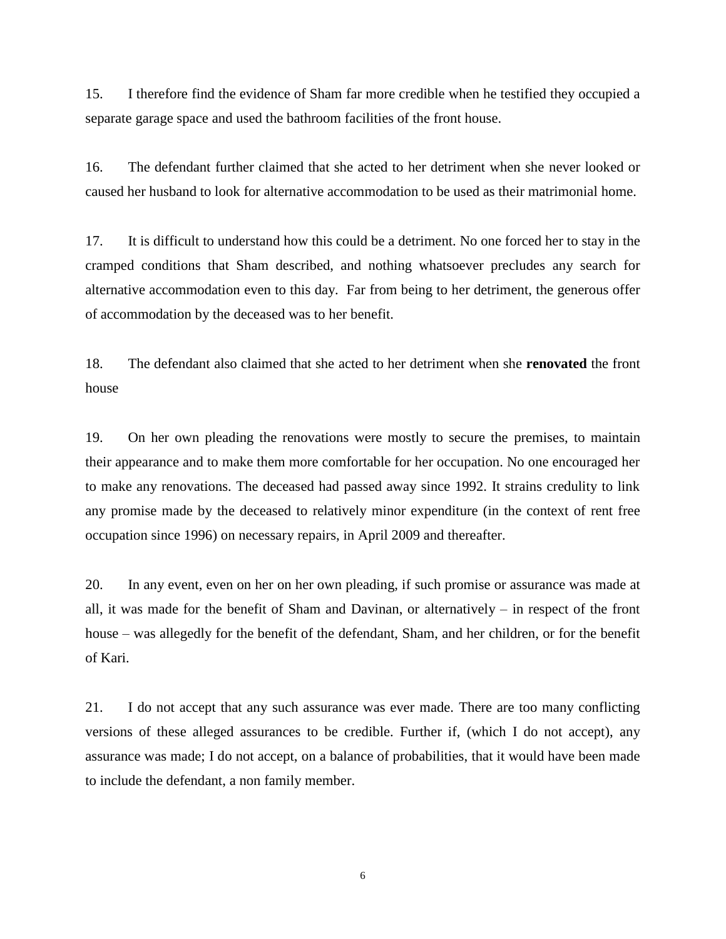15. I therefore find the evidence of Sham far more credible when he testified they occupied a separate garage space and used the bathroom facilities of the front house.

16. The defendant further claimed that she acted to her detriment when she never looked or caused her husband to look for alternative accommodation to be used as their matrimonial home.

17. It is difficult to understand how this could be a detriment. No one forced her to stay in the cramped conditions that Sham described, and nothing whatsoever precludes any search for alternative accommodation even to this day. Far from being to her detriment, the generous offer of accommodation by the deceased was to her benefit.

18. The defendant also claimed that she acted to her detriment when she **renovated** the front house

19. On her own pleading the renovations were mostly to secure the premises, to maintain their appearance and to make them more comfortable for her occupation. No one encouraged her to make any renovations. The deceased had passed away since 1992. It strains credulity to link any promise made by the deceased to relatively minor expenditure (in the context of rent free occupation since 1996) on necessary repairs, in April 2009 and thereafter.

20. In any event, even on her on her own pleading, if such promise or assurance was made at all, it was made for the benefit of Sham and Davinan, or alternatively – in respect of the front house – was allegedly for the benefit of the defendant, Sham, and her children, or for the benefit of Kari.

21. I do not accept that any such assurance was ever made. There are too many conflicting versions of these alleged assurances to be credible. Further if, (which I do not accept), any assurance was made; I do not accept, on a balance of probabilities, that it would have been made to include the defendant, a non family member.

6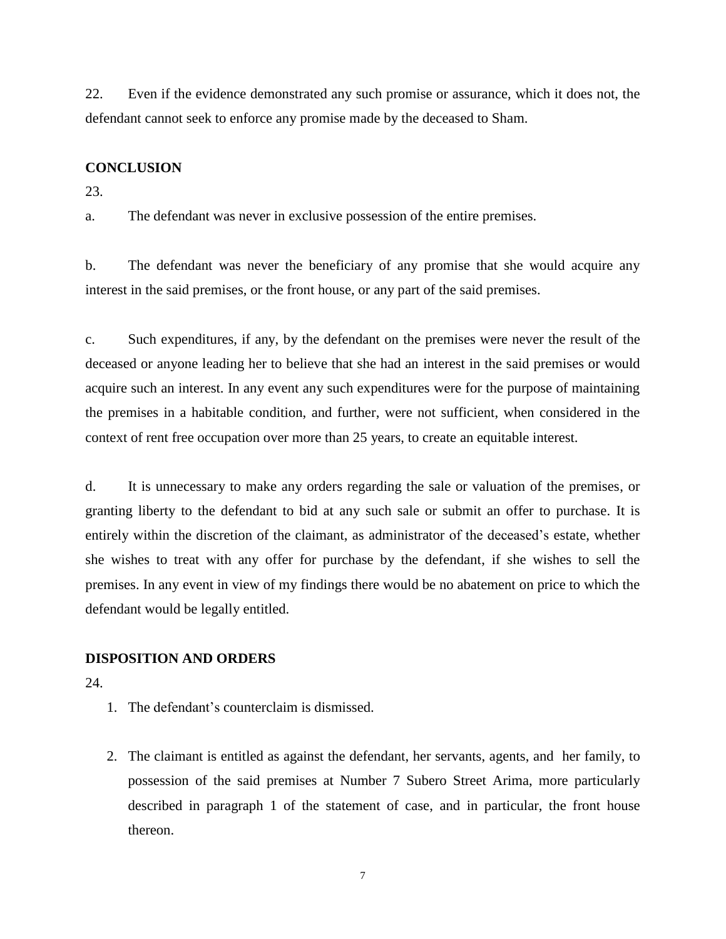22. Even if the evidence demonstrated any such promise or assurance, which it does not, the defendant cannot seek to enforce any promise made by the deceased to Sham.

## **CONCLUSION**

23.

a. The defendant was never in exclusive possession of the entire premises.

b. The defendant was never the beneficiary of any promise that she would acquire any interest in the said premises, or the front house, or any part of the said premises.

c. Such expenditures, if any, by the defendant on the premises were never the result of the deceased or anyone leading her to believe that she had an interest in the said premises or would acquire such an interest. In any event any such expenditures were for the purpose of maintaining the premises in a habitable condition, and further, were not sufficient, when considered in the context of rent free occupation over more than 25 years, to create an equitable interest.

d. It is unnecessary to make any orders regarding the sale or valuation of the premises, or granting liberty to the defendant to bid at any such sale or submit an offer to purchase. It is entirely within the discretion of the claimant, as administrator of the deceased's estate, whether she wishes to treat with any offer for purchase by the defendant, if she wishes to sell the premises. In any event in view of my findings there would be no abatement on price to which the defendant would be legally entitled.

# **DISPOSITION AND ORDERS**

24.

- 1. The defendant's counterclaim is dismissed.
- 2. The claimant is entitled as against the defendant, her servants, agents, and her family, to possession of the said premises at Number 7 Subero Street Arima, more particularly described in paragraph 1 of the statement of case, and in particular, the front house thereon.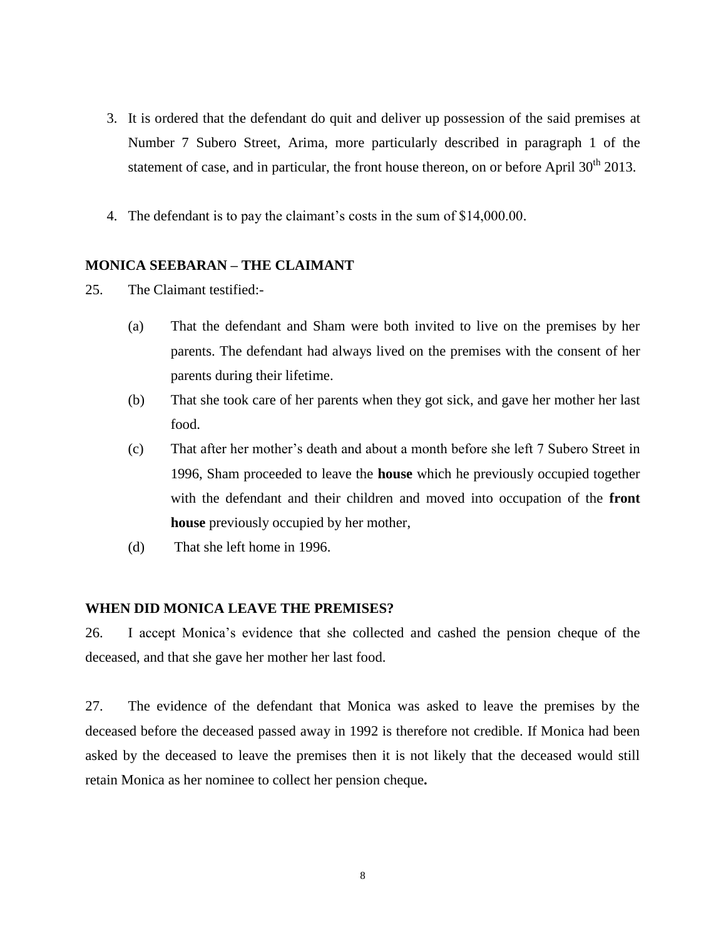- 3. It is ordered that the defendant do quit and deliver up possession of the said premises at Number 7 Subero Street, Arima, more particularly described in paragraph 1 of the statement of case, and in particular, the front house thereon, on or before April  $30<sup>th</sup> 2013$ .
- 4. The defendant is to pay the claimant's costs in the sum of \$14,000.00.

## **MONICA SEEBARAN – THE CLAIMANT**

- 25. The Claimant testified:-
	- (a) That the defendant and Sham were both invited to live on the premises by her parents. The defendant had always lived on the premises with the consent of her parents during their lifetime.
	- (b) That she took care of her parents when they got sick, and gave her mother her last food.
	- (c) That after her mother's death and about a month before she left 7 Subero Street in 1996, Sham proceeded to leave the **house** which he previously occupied together with the defendant and their children and moved into occupation of the **front house** previously occupied by her mother,
	- (d) That she left home in 1996.

## **WHEN DID MONICA LEAVE THE PREMISES?**

26. I accept Monica's evidence that she collected and cashed the pension cheque of the deceased, and that she gave her mother her last food.

27. The evidence of the defendant that Monica was asked to leave the premises by the deceased before the deceased passed away in 1992 is therefore not credible. If Monica had been asked by the deceased to leave the premises then it is not likely that the deceased would still retain Monica as her nominee to collect her pension cheque**.**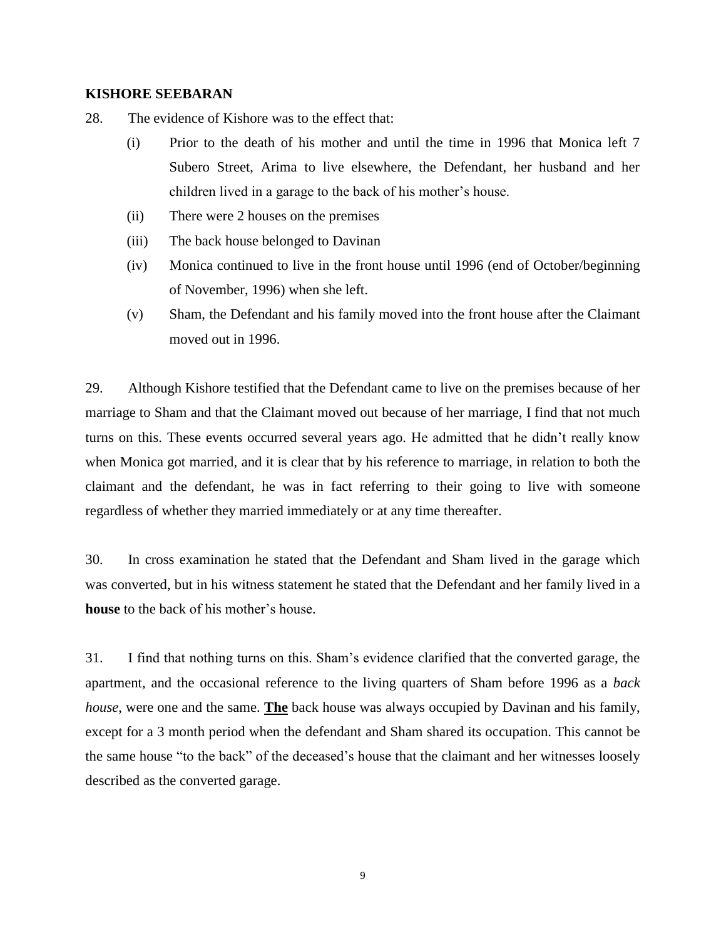### **KISHORE SEEBARAN**

28. The evidence of Kishore was to the effect that:

- (i) Prior to the death of his mother and until the time in 1996 that Monica left 7 Subero Street, Arima to live elsewhere, the Defendant, her husband and her children lived in a garage to the back of his mother's house.
- (ii) There were 2 houses on the premises
- (iii) The back house belonged to Davinan
- (iv) Monica continued to live in the front house until 1996 (end of October/beginning of November, 1996) when she left.
- (v) Sham, the Defendant and his family moved into the front house after the Claimant moved out in 1996.

29. Although Kishore testified that the Defendant came to live on the premises because of her marriage to Sham and that the Claimant moved out because of her marriage, I find that not much turns on this. These events occurred several years ago. He admitted that he didn't really know when Monica got married, and it is clear that by his reference to marriage, in relation to both the claimant and the defendant, he was in fact referring to their going to live with someone regardless of whether they married immediately or at any time thereafter.

30. In cross examination he stated that the Defendant and Sham lived in the garage which was converted, but in his witness statement he stated that the Defendant and her family lived in a **house** to the back of his mother's house.

31. I find that nothing turns on this. Sham's evidence clarified that the converted garage, the apartment, and the occasional reference to the living quarters of Sham before 1996 as a *back house*, were one and the same. **The** back house was always occupied by Davinan and his family, except for a 3 month period when the defendant and Sham shared its occupation. This cannot be the same house "to the back" of the deceased's house that the claimant and her witnesses loosely described as the converted garage.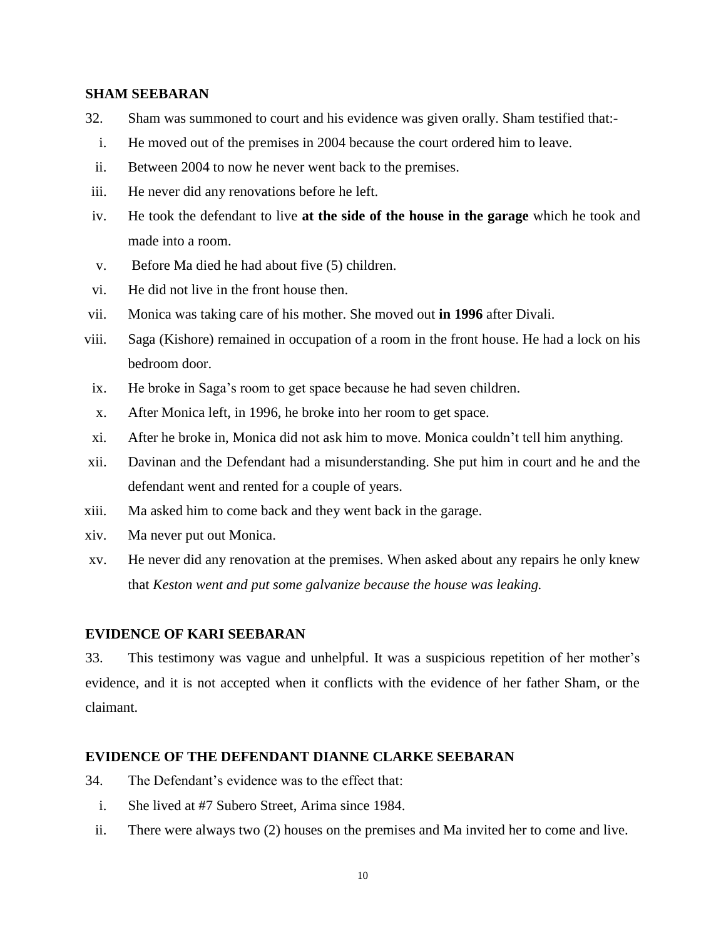## **SHAM SEEBARAN**

- 32. Sham was summoned to court and his evidence was given orally. Sham testified that:-
- i. He moved out of the premises in 2004 because the court ordered him to leave.
- ii. Between 2004 to now he never went back to the premises.
- iii. He never did any renovations before he left.
- iv. He took the defendant to live **at the side of the house in the garage** which he took and made into a room.
- v. Before Ma died he had about five (5) children.
- vi. He did not live in the front house then.
- vii. Monica was taking care of his mother. She moved out **in 1996** after Divali.
- viii. Saga (Kishore) remained in occupation of a room in the front house. He had a lock on his bedroom door.
- ix. He broke in Saga's room to get space because he had seven children.
- x. After Monica left, in 1996, he broke into her room to get space.
- xi. After he broke in, Monica did not ask him to move. Monica couldn't tell him anything.
- xii. Davinan and the Defendant had a misunderstanding. She put him in court and he and the defendant went and rented for a couple of years.
- xiii. Ma asked him to come back and they went back in the garage.
- xiv. Ma never put out Monica.
- xv. He never did any renovation at the premises. When asked about any repairs he only knew that *Keston went and put some galvanize because the house was leaking.*

## **EVIDENCE OF KARI SEEBARAN**

33. This testimony was vague and unhelpful. It was a suspicious repetition of her mother's evidence, and it is not accepted when it conflicts with the evidence of her father Sham, or the claimant.

## **EVIDENCE OF THE DEFENDANT DIANNE CLARKE SEEBARAN**

- 34. The Defendant's evidence was to the effect that:
	- i. She lived at #7 Subero Street, Arima since 1984.
	- ii. There were always two (2) houses on the premises and Ma invited her to come and live.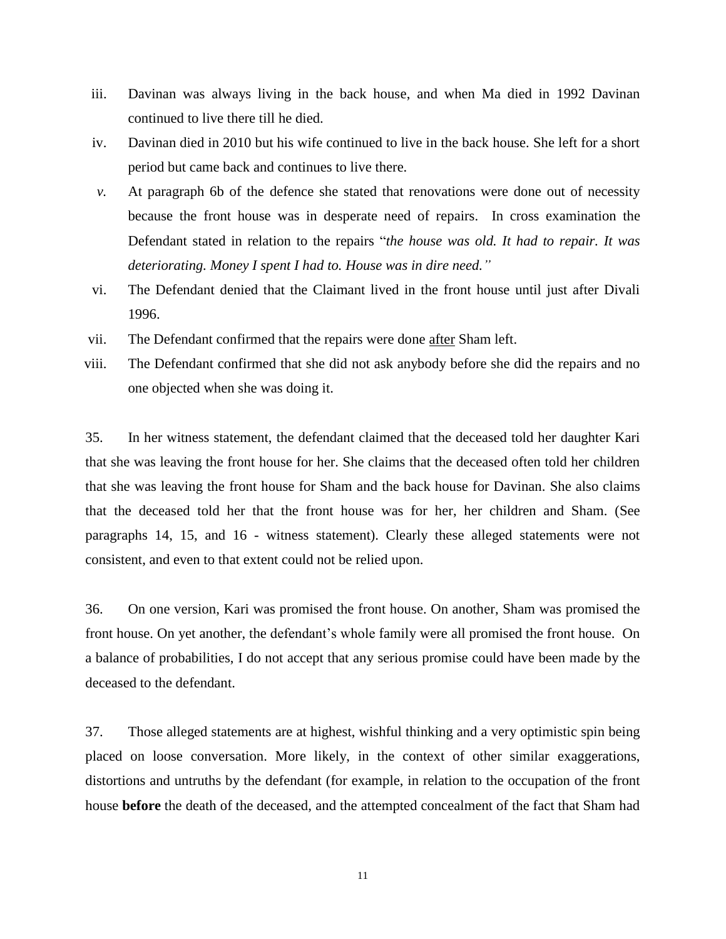- iii. Davinan was always living in the back house, and when Ma died in 1992 Davinan continued to live there till he died.
- iv. Davinan died in 2010 but his wife continued to live in the back house. She left for a short period but came back and continues to live there.
- *v.* At paragraph 6b of the defence she stated that renovations were done out of necessity because the front house was in desperate need of repairs. In cross examination the Defendant stated in relation to the repairs "*the house was old. It had to repair. It was deteriorating. Money I spent I had to. House was in dire need."*
- vi. The Defendant denied that the Claimant lived in the front house until just after Divali 1996.
- vii. The Defendant confirmed that the repairs were done after Sham left.
- viii. The Defendant confirmed that she did not ask anybody before she did the repairs and no one objected when she was doing it.

35. In her witness statement, the defendant claimed that the deceased told her daughter Kari that she was leaving the front house for her. She claims that the deceased often told her children that she was leaving the front house for Sham and the back house for Davinan. She also claims that the deceased told her that the front house was for her, her children and Sham. (See paragraphs 14, 15, and 16 - witness statement). Clearly these alleged statements were not consistent, and even to that extent could not be relied upon.

36. On one version, Kari was promised the front house. On another, Sham was promised the front house. On yet another, the defendant's whole family were all promised the front house. On a balance of probabilities, I do not accept that any serious promise could have been made by the deceased to the defendant.

37. Those alleged statements are at highest, wishful thinking and a very optimistic spin being placed on loose conversation. More likely, in the context of other similar exaggerations, distortions and untruths by the defendant (for example, in relation to the occupation of the front house **before** the death of the deceased, and the attempted concealment of the fact that Sham had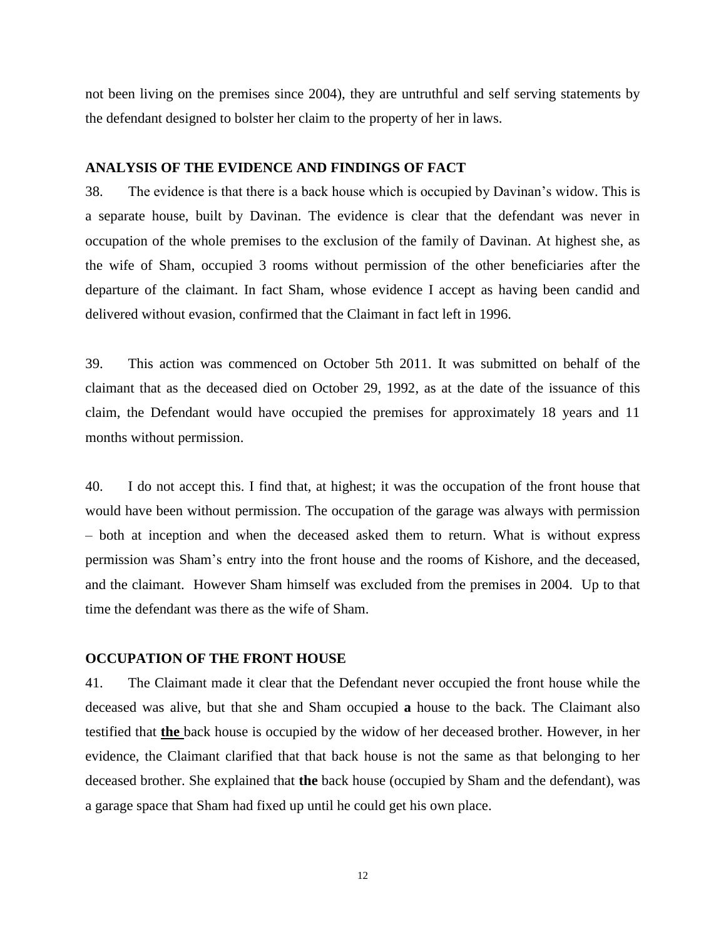not been living on the premises since 2004), they are untruthful and self serving statements by the defendant designed to bolster her claim to the property of her in laws.

#### **ANALYSIS OF THE EVIDENCE AND FINDINGS OF FACT**

38. The evidence is that there is a back house which is occupied by Davinan's widow. This is a separate house, built by Davinan. The evidence is clear that the defendant was never in occupation of the whole premises to the exclusion of the family of Davinan. At highest she, as the wife of Sham, occupied 3 rooms without permission of the other beneficiaries after the departure of the claimant. In fact Sham, whose evidence I accept as having been candid and delivered without evasion, confirmed that the Claimant in fact left in 1996.

39. This action was commenced on October 5th 2011. It was submitted on behalf of the claimant that as the deceased died on October 29, 1992, as at the date of the issuance of this claim, the Defendant would have occupied the premises for approximately 18 years and 11 months without permission.

40. I do not accept this. I find that, at highest; it was the occupation of the front house that would have been without permission. The occupation of the garage was always with permission – both at inception and when the deceased asked them to return. What is without express permission was Sham's entry into the front house and the rooms of Kishore, and the deceased, and the claimant. However Sham himself was excluded from the premises in 2004. Up to that time the defendant was there as the wife of Sham.

## **OCCUPATION OF THE FRONT HOUSE**

41. The Claimant made it clear that the Defendant never occupied the front house while the deceased was alive, but that she and Sham occupied **a** house to the back. The Claimant also testified that **the** back house is occupied by the widow of her deceased brother. However, in her evidence, the Claimant clarified that that back house is not the same as that belonging to her deceased brother. She explained that **the** back house (occupied by Sham and the defendant), was a garage space that Sham had fixed up until he could get his own place.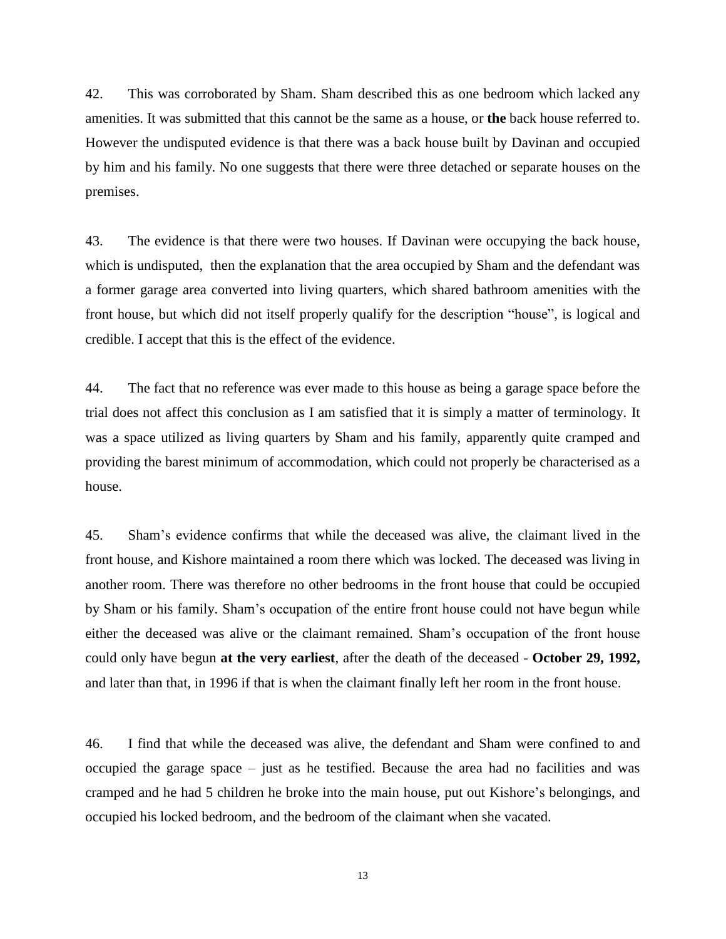42. This was corroborated by Sham. Sham described this as one bedroom which lacked any amenities. It was submitted that this cannot be the same as a house, or **the** back house referred to. However the undisputed evidence is that there was a back house built by Davinan and occupied by him and his family. No one suggests that there were three detached or separate houses on the premises.

43. The evidence is that there were two houses. If Davinan were occupying the back house, which is undisputed, then the explanation that the area occupied by Sham and the defendant was a former garage area converted into living quarters, which shared bathroom amenities with the front house, but which did not itself properly qualify for the description "house", is logical and credible. I accept that this is the effect of the evidence.

44. The fact that no reference was ever made to this house as being a garage space before the trial does not affect this conclusion as I am satisfied that it is simply a matter of terminology. It was a space utilized as living quarters by Sham and his family, apparently quite cramped and providing the barest minimum of accommodation, which could not properly be characterised as a house.

45. Sham's evidence confirms that while the deceased was alive, the claimant lived in the front house, and Kishore maintained a room there which was locked. The deceased was living in another room. There was therefore no other bedrooms in the front house that could be occupied by Sham or his family. Sham's occupation of the entire front house could not have begun while either the deceased was alive or the claimant remained. Sham's occupation of the front house could only have begun **at the very earliest**, after the death of the deceased - **October 29, 1992,**  and later than that, in 1996 if that is when the claimant finally left her room in the front house.

46. I find that while the deceased was alive, the defendant and Sham were confined to and occupied the garage space – just as he testified. Because the area had no facilities and was cramped and he had 5 children he broke into the main house, put out Kishore's belongings, and occupied his locked bedroom, and the bedroom of the claimant when she vacated.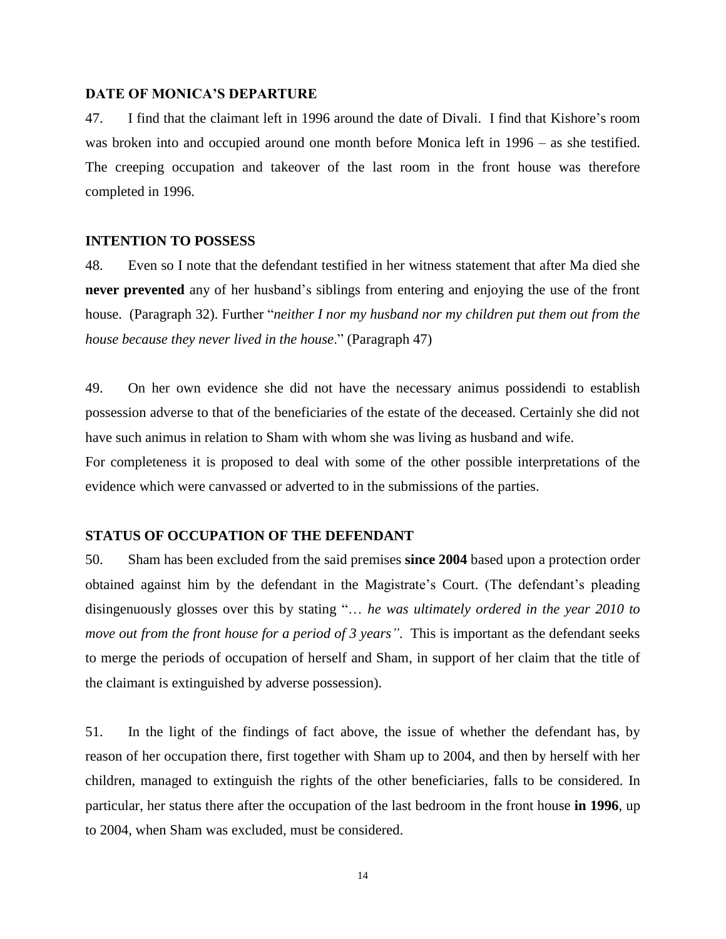#### **DATE OF MONICA'S DEPARTURE**

47. I find that the claimant left in 1996 around the date of Divali. I find that Kishore's room was broken into and occupied around one month before Monica left in 1996 – as she testified. The creeping occupation and takeover of the last room in the front house was therefore completed in 1996.

#### **INTENTION TO POSSESS**

48. Even so I note that the defendant testified in her witness statement that after Ma died she **never prevented** any of her husband's siblings from entering and enjoying the use of the front house. (Paragraph 32). Further "*neither I nor my husband nor my children put them out from the house because they never lived in the house*." (Paragraph 47)

49. On her own evidence she did not have the necessary animus possidendi to establish possession adverse to that of the beneficiaries of the estate of the deceased. Certainly she did not have such animus in relation to Sham with whom she was living as husband and wife.

For completeness it is proposed to deal with some of the other possible interpretations of the evidence which were canvassed or adverted to in the submissions of the parties.

## **STATUS OF OCCUPATION OF THE DEFENDANT**

50. Sham has been excluded from the said premises **since 2004** based upon a protection order obtained against him by the defendant in the Magistrate's Court. (The defendant's pleading disingenuously glosses over this by stating "… *he was ultimately ordered in the year 2010 to move out from the front house for a period of 3 years"*. This is important as the defendant seeks to merge the periods of occupation of herself and Sham, in support of her claim that the title of the claimant is extinguished by adverse possession).

51. In the light of the findings of fact above, the issue of whether the defendant has, by reason of her occupation there, first together with Sham up to 2004, and then by herself with her children, managed to extinguish the rights of the other beneficiaries, falls to be considered. In particular, her status there after the occupation of the last bedroom in the front house **in 1996**, up to 2004, when Sham was excluded, must be considered.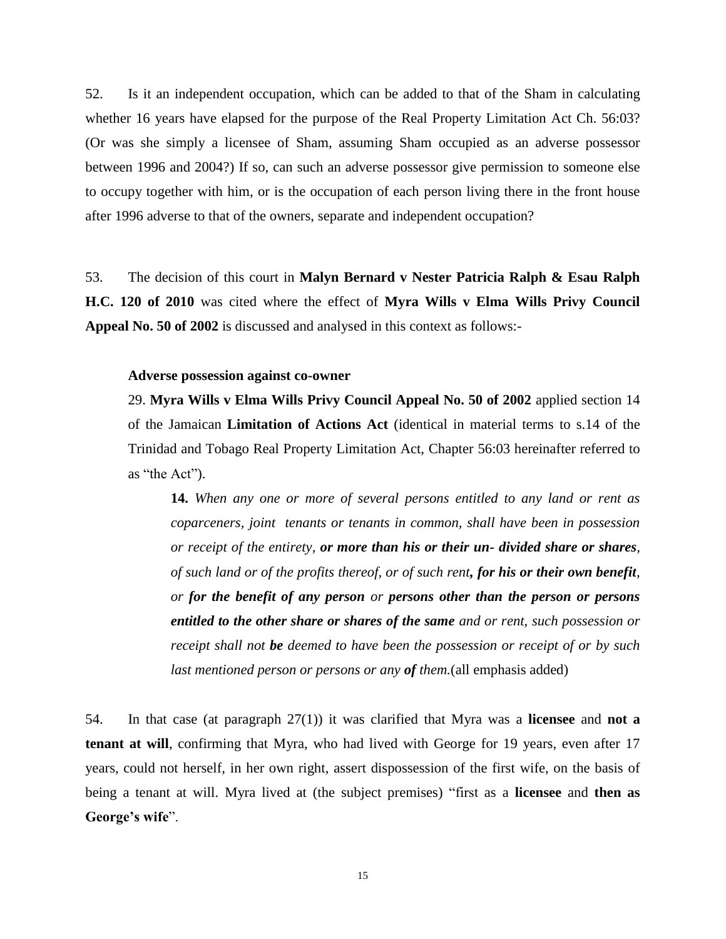52. Is it an independent occupation, which can be added to that of the Sham in calculating whether 16 years have elapsed for the purpose of the Real Property Limitation Act Ch. 56:03? (Or was she simply a licensee of Sham, assuming Sham occupied as an adverse possessor between 1996 and 2004?) If so, can such an adverse possessor give permission to someone else to occupy together with him, or is the occupation of each person living there in the front house after 1996 adverse to that of the owners, separate and independent occupation?

53. The decision of this court in **Malyn Bernard v Nester Patricia Ralph & Esau Ralph H.C. 120 of 2010** was cited where the effect of **Myra Wills v Elma Wills Privy Council Appeal No. 50 of 2002** is discussed and analysed in this context as follows:-

#### **Adverse possession against co-owner**

29. **Myra Wills v Elma Wills Privy Council Appeal No. 50 of 2002** applied section 14 of the Jamaican **Limitation of Actions Act** (identical in material terms to s.14 of the Trinidad and Tobago Real Property Limitation Act, Chapter 56:03 hereinafter referred to as "the Act").

**14.** *When any one or more of several persons entitled to any land or rent as coparceners, joint tenants or tenants in common, shall have been in possession or receipt of the entirety, or more than his or their un- divided share or shares, of such land or of the profits thereof, or of such rent, for his or their own benefit, or for the benefit of any person or persons other than the person or persons entitled to the other share or shares of the same and or rent, such possession or receipt shall not be deemed to have been the possession or receipt of or by such last mentioned person or persons or any of them.*(all emphasis added)

54. In that case (at paragraph 27(1)) it was clarified that Myra was a **licensee** and **not a tenant at will**, confirming that Myra, who had lived with George for 19 years, even after 17 years, could not herself, in her own right, assert dispossession of the first wife, on the basis of being a tenant at will. Myra lived at (the subject premises) "first as a **licensee** and **then as George's wife**".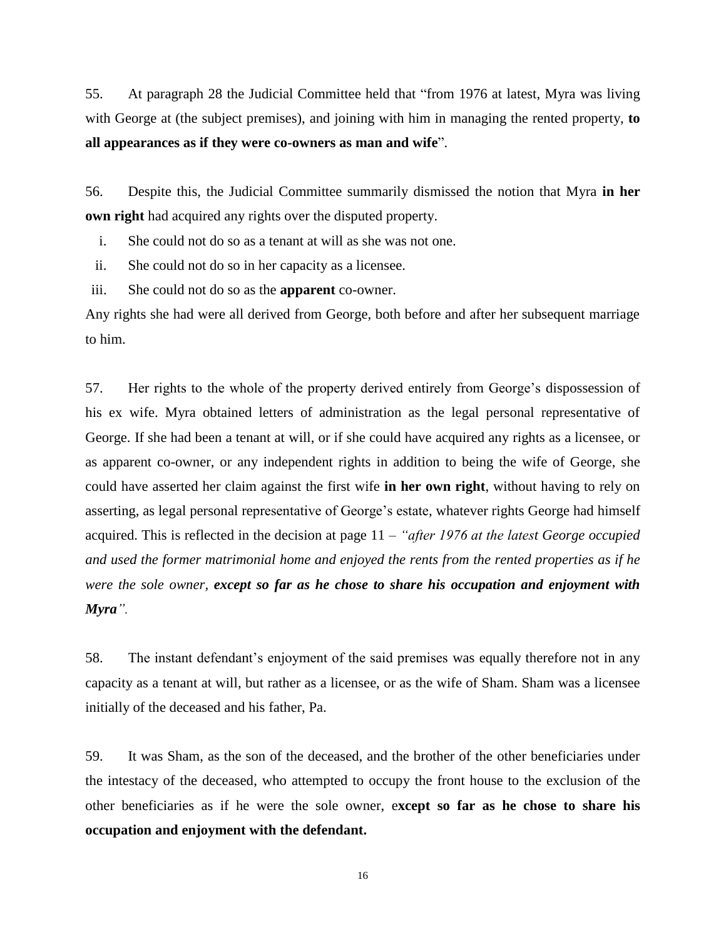55. At paragraph 28 the Judicial Committee held that "from 1976 at latest, Myra was living with George at (the subject premises), and joining with him in managing the rented property, **to all appearances as if they were co-owners as man and wife**".

56. Despite this, the Judicial Committee summarily dismissed the notion that Myra **in her own right** had acquired any rights over the disputed property.

i. She could not do so as a tenant at will as she was not one.

ii. She could not do so in her capacity as a licensee.

iii. She could not do so as the **apparent** co-owner.

Any rights she had were all derived from George, both before and after her subsequent marriage to him.

57. Her rights to the whole of the property derived entirely from George's dispossession of his ex wife. Myra obtained letters of administration as the legal personal representative of George. If she had been a tenant at will, or if she could have acquired any rights as a licensee, or as apparent co-owner, or any independent rights in addition to being the wife of George, she could have asserted her claim against the first wife **in her own right**, without having to rely on asserting, as legal personal representative of George's estate, whatever rights George had himself acquired. This is reflected in the decision at page 11 – *"after 1976 at the latest George occupied and used the former matrimonial home and enjoyed the rents from the rented properties as if he were the sole owner, except so far as he chose to share his occupation and enjoyment with Myra".*

58. The instant defendant's enjoyment of the said premises was equally therefore not in any capacity as a tenant at will, but rather as a licensee, or as the wife of Sham. Sham was a licensee initially of the deceased and his father, Pa.

59. It was Sham, as the son of the deceased, and the brother of the other beneficiaries under the intestacy of the deceased, who attempted to occupy the front house to the exclusion of the other beneficiaries as if he were the sole owner, e**xcept so far as he chose to share his occupation and enjoyment with the defendant.** 

16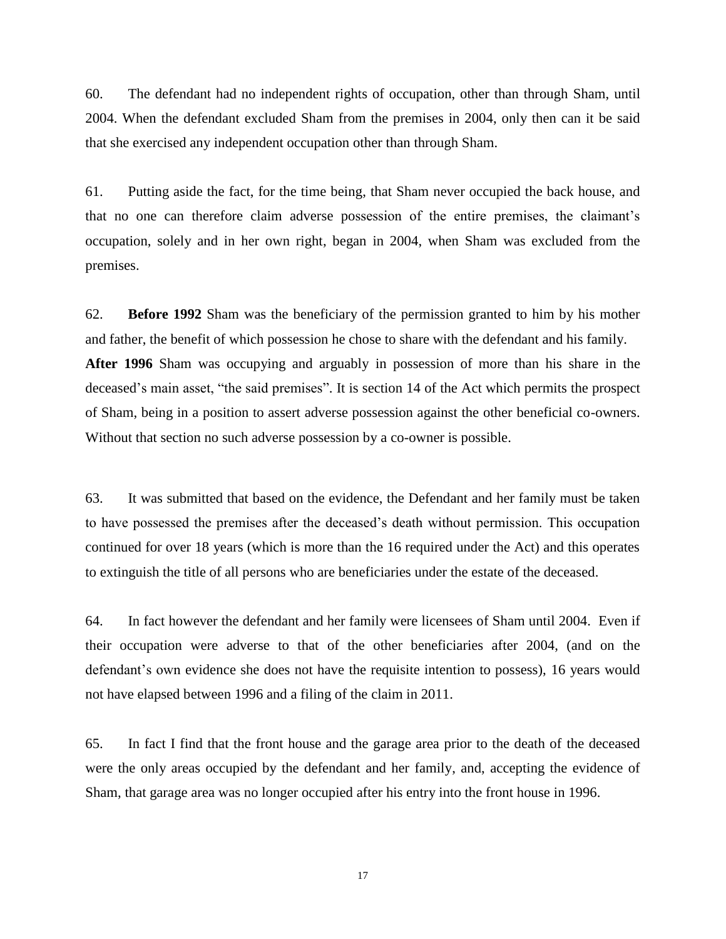60. The defendant had no independent rights of occupation, other than through Sham, until 2004. When the defendant excluded Sham from the premises in 2004, only then can it be said that she exercised any independent occupation other than through Sham.

61. Putting aside the fact, for the time being, that Sham never occupied the back house, and that no one can therefore claim adverse possession of the entire premises, the claimant's occupation, solely and in her own right, began in 2004, when Sham was excluded from the premises.

62. **Before 1992** Sham was the beneficiary of the permission granted to him by his mother and father, the benefit of which possession he chose to share with the defendant and his family. **After 1996** Sham was occupying and arguably in possession of more than his share in the deceased's main asset, "the said premises". It is section 14 of the Act which permits the prospect of Sham, being in a position to assert adverse possession against the other beneficial co-owners. Without that section no such adverse possession by a co-owner is possible.

63. It was submitted that based on the evidence, the Defendant and her family must be taken to have possessed the premises after the deceased's death without permission. This occupation continued for over 18 years (which is more than the 16 required under the Act) and this operates to extinguish the title of all persons who are beneficiaries under the estate of the deceased.

64. In fact however the defendant and her family were licensees of Sham until 2004. Even if their occupation were adverse to that of the other beneficiaries after 2004, (and on the defendant's own evidence she does not have the requisite intention to possess), 16 years would not have elapsed between 1996 and a filing of the claim in 2011.

65. In fact I find that the front house and the garage area prior to the death of the deceased were the only areas occupied by the defendant and her family, and, accepting the evidence of Sham, that garage area was no longer occupied after his entry into the front house in 1996.

17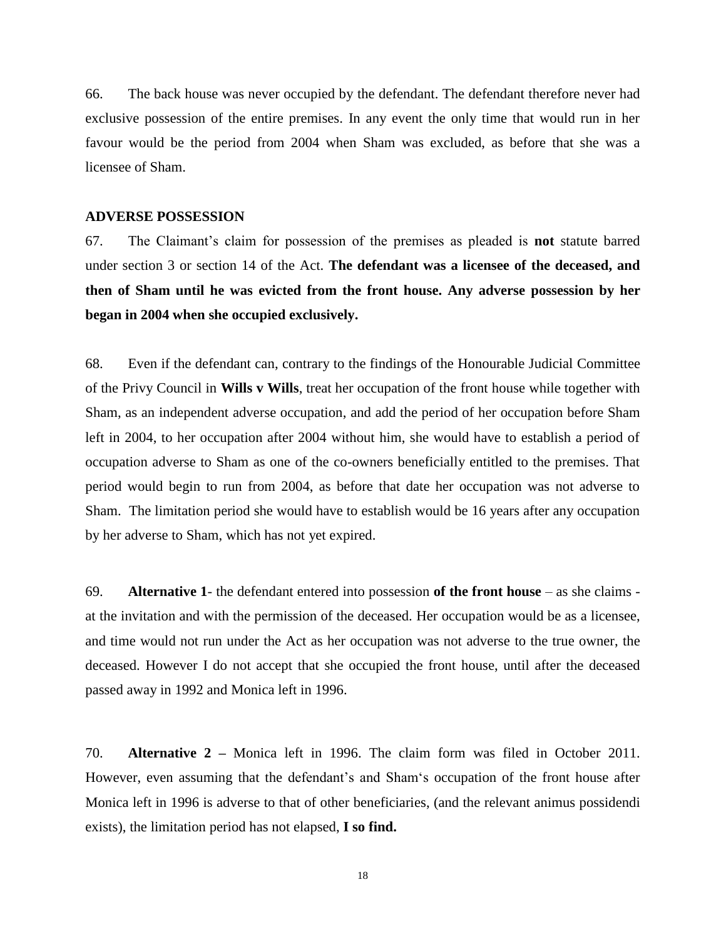66. The back house was never occupied by the defendant. The defendant therefore never had exclusive possession of the entire premises. In any event the only time that would run in her favour would be the period from 2004 when Sham was excluded, as before that she was a licensee of Sham.

#### **ADVERSE POSSESSION**

67. The Claimant's claim for possession of the premises as pleaded is **not** statute barred under section 3 or section 14 of the Act. **The defendant was a licensee of the deceased, and then of Sham until he was evicted from the front house. Any adverse possession by her began in 2004 when she occupied exclusively.**

68. Even if the defendant can, contrary to the findings of the Honourable Judicial Committee of the Privy Council in **Wills v Wills**, treat her occupation of the front house while together with Sham, as an independent adverse occupation, and add the period of her occupation before Sham left in 2004, to her occupation after 2004 without him, she would have to establish a period of occupation adverse to Sham as one of the co-owners beneficially entitled to the premises. That period would begin to run from 2004, as before that date her occupation was not adverse to Sham. The limitation period she would have to establish would be 16 years after any occupation by her adverse to Sham, which has not yet expired.

69. **Alternative 1**- the defendant entered into possession **of the front house** – as she claims at the invitation and with the permission of the deceased. Her occupation would be as a licensee, and time would not run under the Act as her occupation was not adverse to the true owner, the deceased. However I do not accept that she occupied the front house, until after the deceased passed away in 1992 and Monica left in 1996.

70. **Alternative 2 –** Monica left in 1996. The claim form was filed in October 2011. However, even assuming that the defendant's and Sham's occupation of the front house after Monica left in 1996 is adverse to that of other beneficiaries, (and the relevant animus possidendi exists), the limitation period has not elapsed, **I so find.**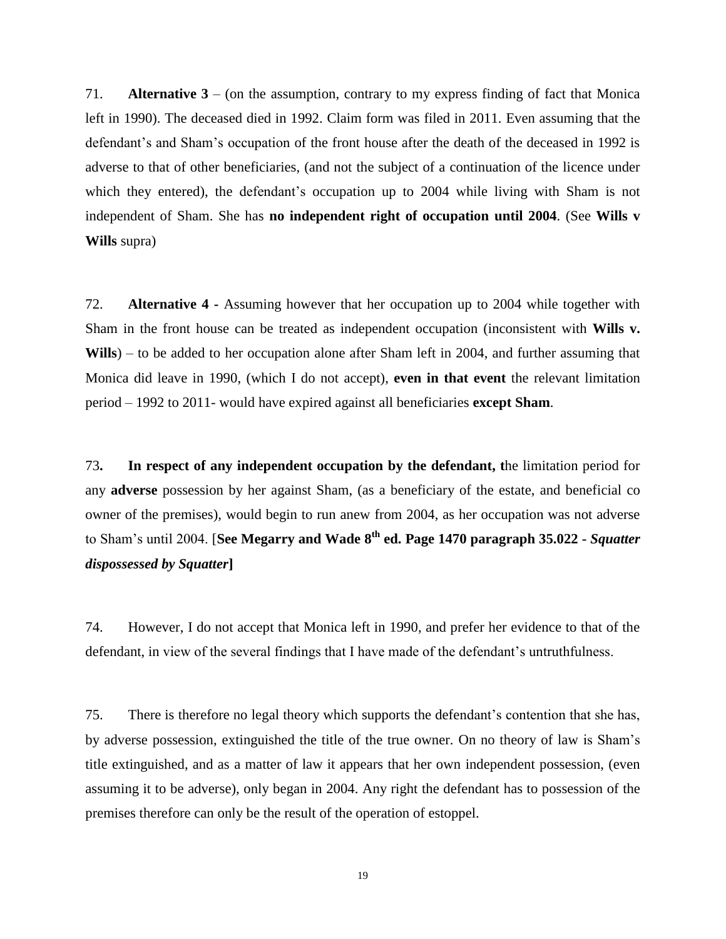71. **Alternative 3** – (on the assumption, contrary to my express finding of fact that Monica left in 1990). The deceased died in 1992. Claim form was filed in 2011. Even assuming that the defendant's and Sham's occupation of the front house after the death of the deceased in 1992 is adverse to that of other beneficiaries, (and not the subject of a continuation of the licence under which they entered), the defendant's occupation up to 2004 while living with Sham is not independent of Sham. She has **no independent right of occupation until 2004**. (See **Wills v Wills** supra)

72. **Alternative 4 -** Assuming however that her occupation up to 2004 while together with Sham in the front house can be treated as independent occupation (inconsistent with **Wills v. Wills**) – to be added to her occupation alone after Sham left in 2004, and further assuming that Monica did leave in 1990, (which I do not accept), **even in that event** the relevant limitation period – 1992 to 2011- would have expired against all beneficiaries **except Sham**.

73**. In respect of any independent occupation by the defendant, t**he limitation period for any **adverse** possession by her against Sham, (as a beneficiary of the estate, and beneficial co owner of the premises), would begin to run anew from 2004, as her occupation was not adverse to Sham's until 2004. [**See Megarry and Wade 8th ed. Page 1470 paragraph 35.022 -** *Squatter dispossessed by Squatter***]**

74. However, I do not accept that Monica left in 1990, and prefer her evidence to that of the defendant, in view of the several findings that I have made of the defendant's untruthfulness.

75. There is therefore no legal theory which supports the defendant's contention that she has, by adverse possession, extinguished the title of the true owner. On no theory of law is Sham's title extinguished, and as a matter of law it appears that her own independent possession, (even assuming it to be adverse), only began in 2004. Any right the defendant has to possession of the premises therefore can only be the result of the operation of estoppel.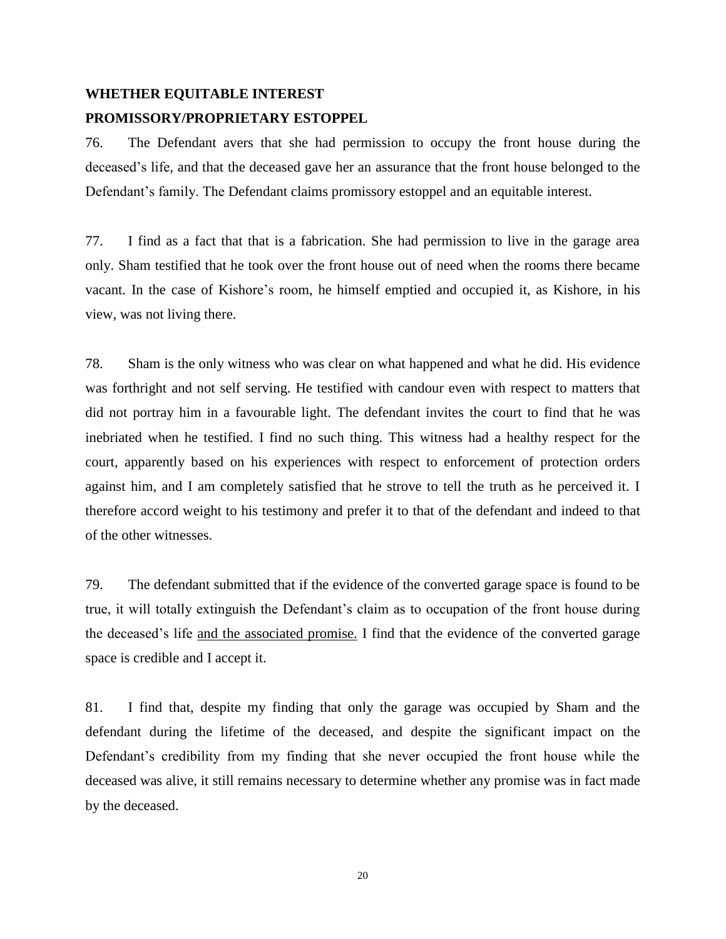# **WHETHER EQUITABLE INTEREST PROMISSORY/PROPRIETARY ESTOPPEL**

76. The Defendant avers that she had permission to occupy the front house during the deceased's life, and that the deceased gave her an assurance that the front house belonged to the Defendant's family. The Defendant claims promissory estoppel and an equitable interest.

77. I find as a fact that that is a fabrication. She had permission to live in the garage area only. Sham testified that he took over the front house out of need when the rooms there became vacant. In the case of Kishore's room, he himself emptied and occupied it, as Kishore, in his view, was not living there.

78. Sham is the only witness who was clear on what happened and what he did. His evidence was forthright and not self serving. He testified with candour even with respect to matters that did not portray him in a favourable light. The defendant invites the court to find that he was inebriated when he testified. I find no such thing. This witness had a healthy respect for the court, apparently based on his experiences with respect to enforcement of protection orders against him, and I am completely satisfied that he strove to tell the truth as he perceived it. I therefore accord weight to his testimony and prefer it to that of the defendant and indeed to that of the other witnesses.

79. The defendant submitted that if the evidence of the converted garage space is found to be true, it will totally extinguish the Defendant's claim as to occupation of the front house during the deceased's life and the associated promise. I find that the evidence of the converted garage space is credible and I accept it.

81. I find that, despite my finding that only the garage was occupied by Sham and the defendant during the lifetime of the deceased, and despite the significant impact on the Defendant's credibility from my finding that she never occupied the front house while the deceased was alive, it still remains necessary to determine whether any promise was in fact made by the deceased.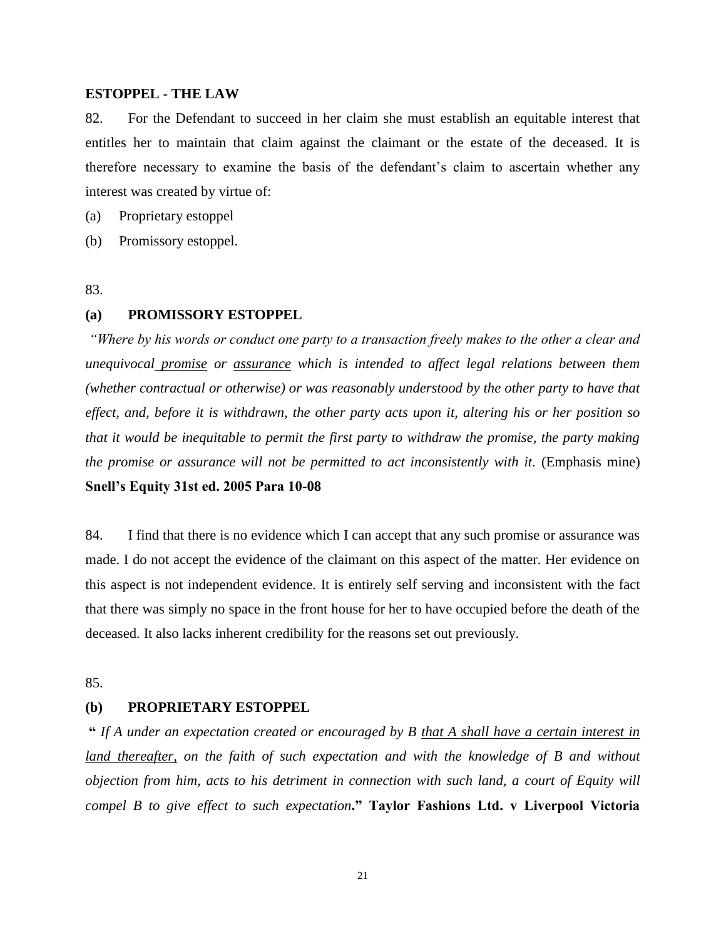#### **ESTOPPEL - THE LAW**

82. For the Defendant to succeed in her claim she must establish an equitable interest that entitles her to maintain that claim against the claimant or the estate of the deceased. It is therefore necessary to examine the basis of the defendant's claim to ascertain whether any interest was created by virtue of:

(a) Proprietary estoppel

(b) Promissory estoppel.

83.

#### **(a) PROMISSORY ESTOPPEL**

*"Where by his words or conduct one party to a transaction freely makes to the other a clear and unequivocal promise or assurance which is intended to affect legal relations between them (whether contractual or otherwise) or was reasonably understood by the other party to have that effect, and, before it is withdrawn, the other party acts upon it, altering his or her position so that it would be inequitable to permit the first party to withdraw the promise, the party making the promise or assurance will not be permitted to act inconsistently with it.* (Emphasis mine) **Snell's Equity 31st ed. 2005 Para 10-08**

84. I find that there is no evidence which I can accept that any such promise or assurance was made. I do not accept the evidence of the claimant on this aspect of the matter. Her evidence on this aspect is not independent evidence. It is entirely self serving and inconsistent with the fact that there was simply no space in the front house for her to have occupied before the death of the deceased. It also lacks inherent credibility for the reasons set out previously.

85.

### **(b) PROPRIETARY ESTOPPEL**

**"** *If A under an expectation created or encouraged by B that A shall have a certain interest in land thereafter, on the faith of such expectation and with the knowledge of B and without objection from him, acts to his detriment in connection with such land, a court of Equity will compel B to give effect to such expectation***." Taylor Fashions Ltd. v Liverpool Victoria**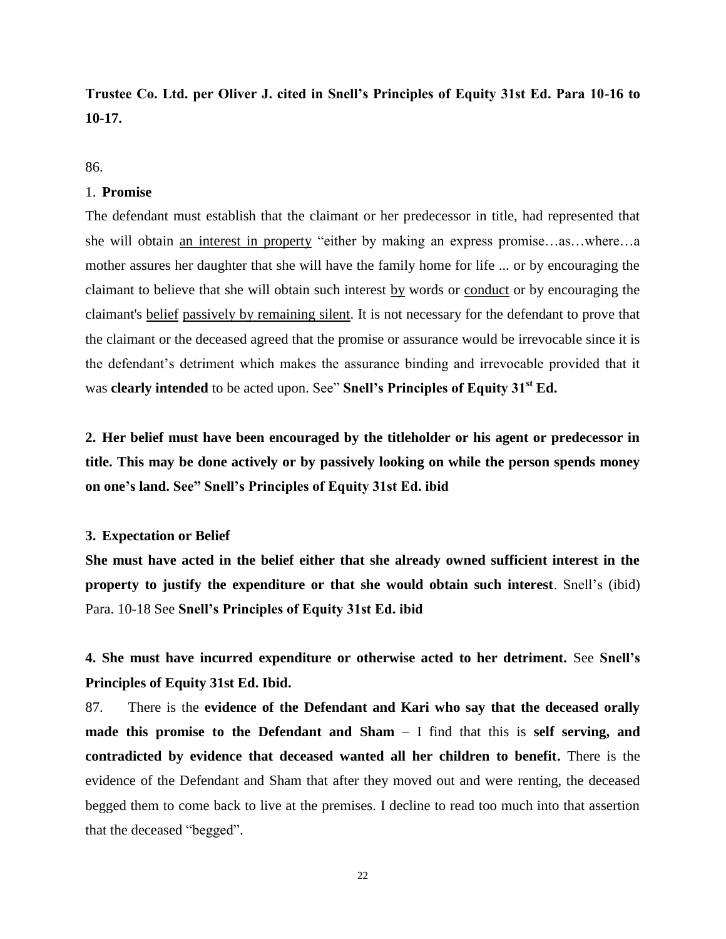# **Trustee Co. Ltd. per Oliver J. cited in Snell's Principles of Equity 31st Ed. Para 10-16 to 10-17.**

86.

#### 1. **Promise**

The defendant must establish that the claimant or her predecessor in title, had represented that she will obtain an interest in property "either by making an express promise…as…where…a mother assures her daughter that she will have the family home for life ... or by encouraging the claimant to believe that she will obtain such interest by words or conduct or by encouraging the claimant's belief passively by remaining silent. It is not necessary for the defendant to prove that the claimant or the deceased agreed that the promise or assurance would be irrevocable since it is the defendant's detriment which makes the assurance binding and irrevocable provided that it was **clearly intended** to be acted upon. See" **Snell's Principles of Equity 31st Ed.**

**2. Her belief must have been encouraged by the titleholder or his agent or predecessor in title. This may be done actively or by passively looking on while the person spends money on one's land. See" Snell's Principles of Equity 31st Ed. ibid**

#### **3. Expectation or Belief**

**She must have acted in the belief either that she already owned sufficient interest in the property to justify the expenditure or that she would obtain such interest**. Snell's (ibid) Para. 10-18 See **Snell's Principles of Equity 31st Ed. ibid**

**4. She must have incurred expenditure or otherwise acted to her detriment.** See **Snell's Principles of Equity 31st Ed. Ibid.**

87. There is the **evidence of the Defendant and Kari who say that the deceased orally made this promise to the Defendant and Sham** – I find that this is **self serving, and contradicted by evidence that deceased wanted all her children to benefit.** There is the evidence of the Defendant and Sham that after they moved out and were renting, the deceased begged them to come back to live at the premises. I decline to read too much into that assertion that the deceased "begged".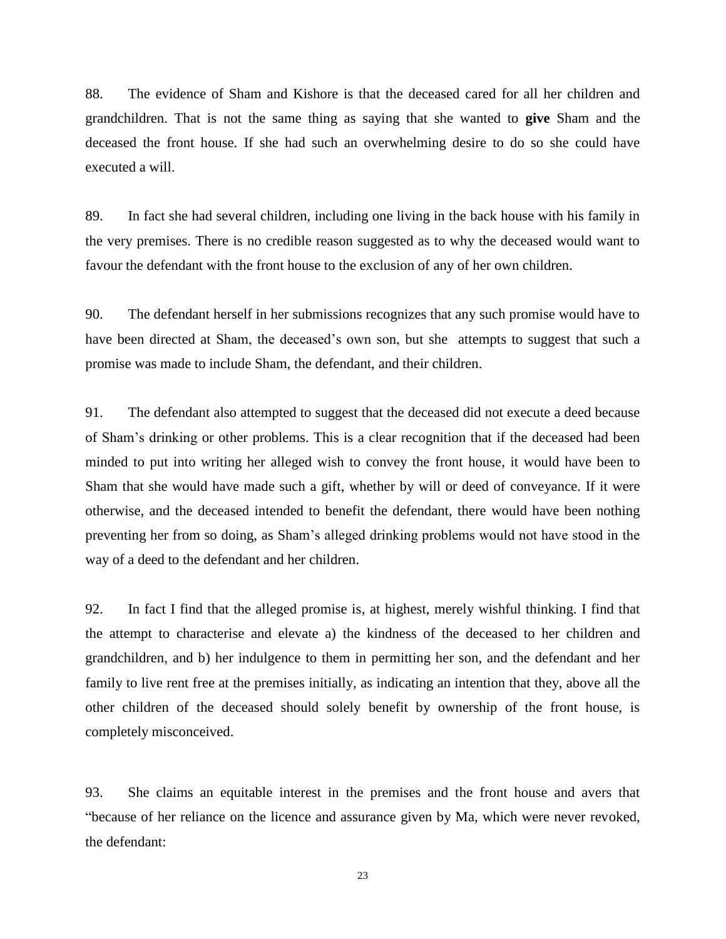88. The evidence of Sham and Kishore is that the deceased cared for all her children and grandchildren. That is not the same thing as saying that she wanted to **give** Sham and the deceased the front house. If she had such an overwhelming desire to do so she could have executed a will.

89. In fact she had several children, including one living in the back house with his family in the very premises. There is no credible reason suggested as to why the deceased would want to favour the defendant with the front house to the exclusion of any of her own children.

90. The defendant herself in her submissions recognizes that any such promise would have to have been directed at Sham, the deceased's own son, but she attempts to suggest that such a promise was made to include Sham, the defendant, and their children.

91. The defendant also attempted to suggest that the deceased did not execute a deed because of Sham's drinking or other problems. This is a clear recognition that if the deceased had been minded to put into writing her alleged wish to convey the front house, it would have been to Sham that she would have made such a gift, whether by will or deed of conveyance. If it were otherwise, and the deceased intended to benefit the defendant, there would have been nothing preventing her from so doing, as Sham's alleged drinking problems would not have stood in the way of a deed to the defendant and her children.

92. In fact I find that the alleged promise is, at highest, merely wishful thinking. I find that the attempt to characterise and elevate a) the kindness of the deceased to her children and grandchildren, and b) her indulgence to them in permitting her son, and the defendant and her family to live rent free at the premises initially, as indicating an intention that they, above all the other children of the deceased should solely benefit by ownership of the front house, is completely misconceived.

93. She claims an equitable interest in the premises and the front house and avers that "because of her reliance on the licence and assurance given by Ma, which were never revoked, the defendant: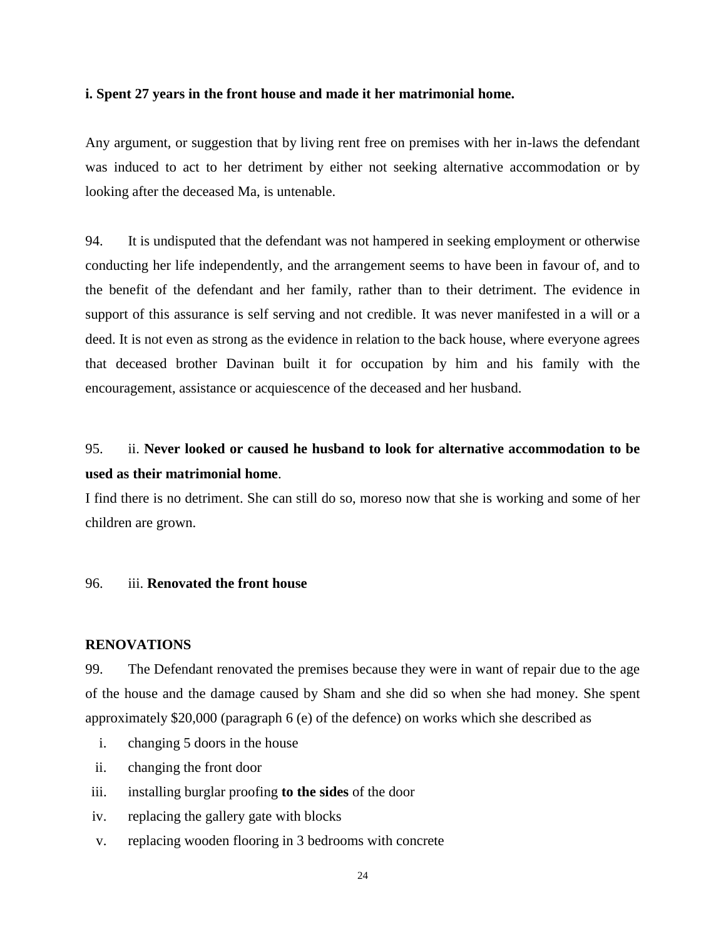#### **i. Spent 27 years in the front house and made it her matrimonial home.**

Any argument, or suggestion that by living rent free on premises with her in-laws the defendant was induced to act to her detriment by either not seeking alternative accommodation or by looking after the deceased Ma, is untenable.

94. It is undisputed that the defendant was not hampered in seeking employment or otherwise conducting her life independently, and the arrangement seems to have been in favour of, and to the benefit of the defendant and her family, rather than to their detriment. The evidence in support of this assurance is self serving and not credible. It was never manifested in a will or a deed. It is not even as strong as the evidence in relation to the back house, where everyone agrees that deceased brother Davinan built it for occupation by him and his family with the encouragement, assistance or acquiescence of the deceased and her husband.

# 95. ii. **Never looked or caused he husband to look for alternative accommodation to be used as their matrimonial home**.

I find there is no detriment. She can still do so, moreso now that she is working and some of her children are grown.

#### 96. iii. **Renovated the front house**

#### **RENOVATIONS**

99. The Defendant renovated the premises because they were in want of repair due to the age of the house and the damage caused by Sham and she did so when she had money. She spent approximately \$20,000 (paragraph 6 (e) of the defence) on works which she described as

- i. changing 5 doors in the house
- ii. changing the front door
- iii. installing burglar proofing **to the sides** of the door
- iv. replacing the gallery gate with blocks
- v. replacing wooden flooring in 3 bedrooms with concrete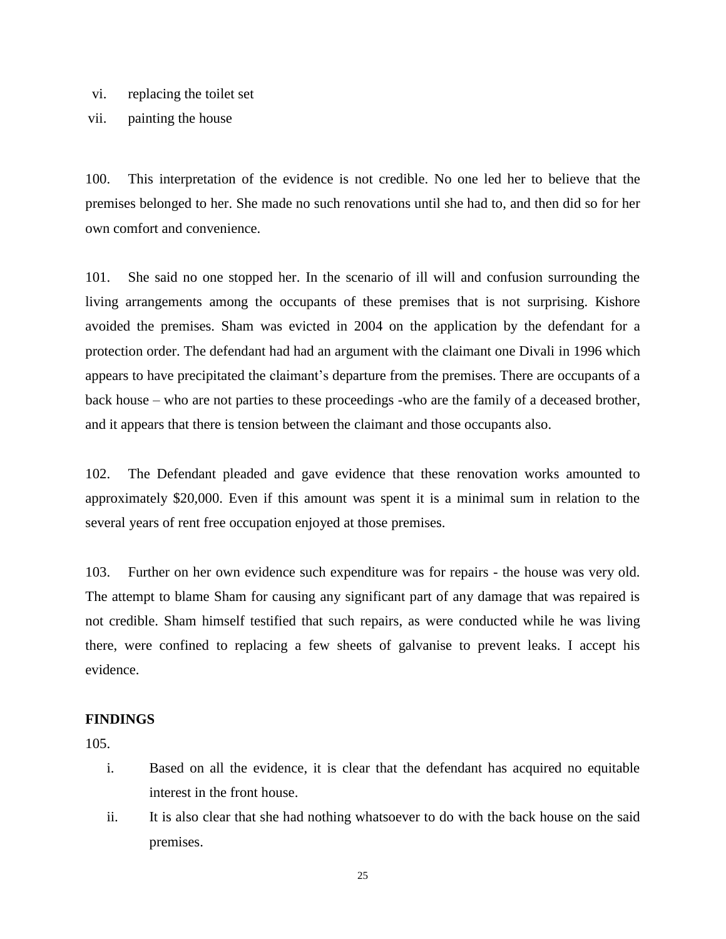- vi. replacing the toilet set
- vii. painting the house

100. This interpretation of the evidence is not credible. No one led her to believe that the premises belonged to her. She made no such renovations until she had to, and then did so for her own comfort and convenience.

101. She said no one stopped her. In the scenario of ill will and confusion surrounding the living arrangements among the occupants of these premises that is not surprising. Kishore avoided the premises. Sham was evicted in 2004 on the application by the defendant for a protection order. The defendant had had an argument with the claimant one Divali in 1996 which appears to have precipitated the claimant's departure from the premises. There are occupants of a back house – who are not parties to these proceedings -who are the family of a deceased brother, and it appears that there is tension between the claimant and those occupants also.

102. The Defendant pleaded and gave evidence that these renovation works amounted to approximately \$20,000. Even if this amount was spent it is a minimal sum in relation to the several years of rent free occupation enjoyed at those premises.

103. Further on her own evidence such expenditure was for repairs - the house was very old. The attempt to blame Sham for causing any significant part of any damage that was repaired is not credible. Sham himself testified that such repairs, as were conducted while he was living there, were confined to replacing a few sheets of galvanise to prevent leaks. I accept his evidence.

## **FINDINGS**

105.

- i. Based on all the evidence, it is clear that the defendant has acquired no equitable interest in the front house.
- ii. It is also clear that she had nothing whatsoever to do with the back house on the said premises.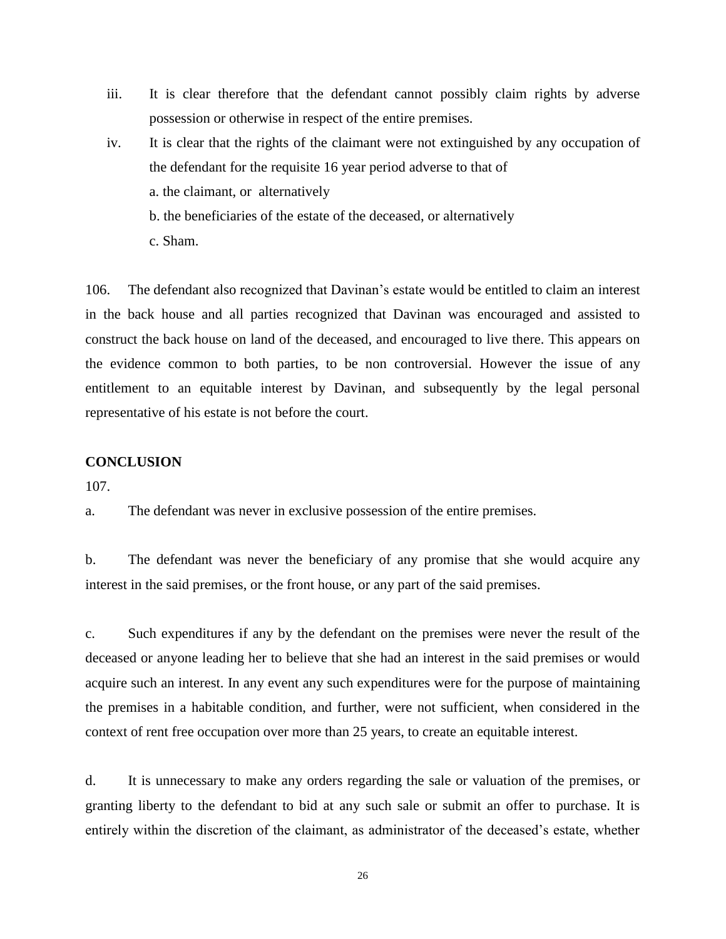- iii. It is clear therefore that the defendant cannot possibly claim rights by adverse possession or otherwise in respect of the entire premises.
- iv. It is clear that the rights of the claimant were not extinguished by any occupation of the defendant for the requisite 16 year period adverse to that of a. the claimant, or alternatively
	- b. the beneficiaries of the estate of the deceased, or alternatively
	- c. Sham.

106. The defendant also recognized that Davinan's estate would be entitled to claim an interest in the back house and all parties recognized that Davinan was encouraged and assisted to construct the back house on land of the deceased, and encouraged to live there. This appears on the evidence common to both parties, to be non controversial. However the issue of any entitlement to an equitable interest by Davinan, and subsequently by the legal personal representative of his estate is not before the court.

#### **CONCLUSION**

107.

a. The defendant was never in exclusive possession of the entire premises.

b. The defendant was never the beneficiary of any promise that she would acquire any interest in the said premises, or the front house, or any part of the said premises.

c. Such expenditures if any by the defendant on the premises were never the result of the deceased or anyone leading her to believe that she had an interest in the said premises or would acquire such an interest. In any event any such expenditures were for the purpose of maintaining the premises in a habitable condition, and further, were not sufficient, when considered in the context of rent free occupation over more than 25 years, to create an equitable interest.

d. It is unnecessary to make any orders regarding the sale or valuation of the premises, or granting liberty to the defendant to bid at any such sale or submit an offer to purchase. It is entirely within the discretion of the claimant, as administrator of the deceased's estate, whether